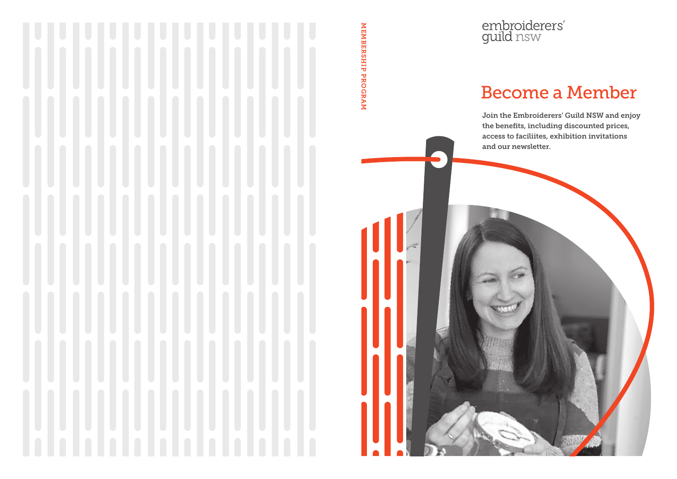embroiderers'<br>guild nsw

MEMBERSHIP PROGRAM

MEMBERSHIP PROGRAM

# Become a Member

Join the Embroiderers' Guild NSW and enjoy the benefits, including discounted prices, access to faciliites, exhibition invitations and our newsletter.